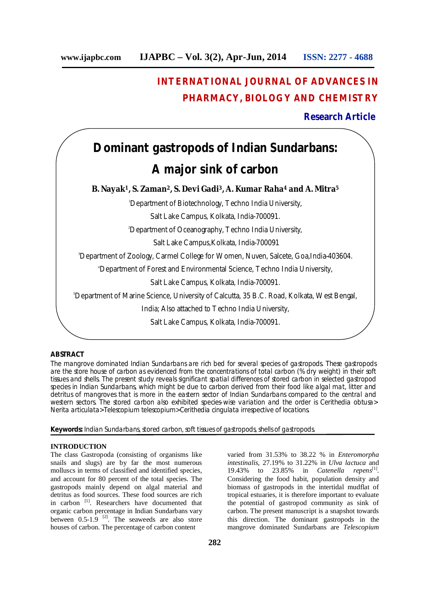# **INTERNATIONAL JOURNAL OF ADVANCES IN PHARMACY, BIOLOGY AND CHEMISTRY**

### **Research Article**

# **Dominant gastropods of Indian Sundarbans: A major sink of carbon**

**B. Nayak<sup>1</sup>, S. Zaman<sup>2</sup>, S. Devi Gadi<sup>3</sup>, A. Kumar Raha<sup>4</sup> and A. Mitra<sup>5</sup>**

<sup>1</sup>Department of Biotechnology, Techno India University,

Salt Lake Campus, Kolkata, India-700091.

<sup>2</sup>Department of Oceanography, Techno India University,

Salt Lake Campus,Kolkata, India-700091

<sup>3</sup>Department of Zoology, Carmel College for Women, Nuven, Salcete, Goa,India-403604.

<sup>4</sup>Department of Forest and Environmental Science, Techno India University,

Salt Lake Campus, Kolkata, India-700091.

<sup>5</sup>Department of Marine Science, University of Calcutta, 35 B.C. Road, Kolkata, West Bengal,

India; Also attached to Techno India University,

Salt Lake Campus, Kolkata, India-700091.

#### **ABSTRACT**

The mangrove dominated Indian Sundarbans are rich bed for several species of gastropods. These gastropods are the store house of carbon as evidenced from the concentrations of total carbon (% dry weight) in their soft tissues and shells. The present study reveals significant spatial differences of stored carbon in selected gastropod species in Indian Sundarbans, which might be due to carbon derived from their food like algal mat, litter and detritus of mangroves that is more in the eastern sector of Indian Sundarbans compared to the central and western sectors. The stored carbon also exhibited species-wise variation and the order is *Cerithedia obtusa> Nerita articulata> Telescopium telescopium> Cerithedia cingulata* irrespective of locations.

**Keywords:** Indian Sundarbans, stored carbon, soft tissues of gastropods, shells of gastropods.

#### **INTRODUCTION**

The class Gastropoda (consisting of organisms like snails and slugs) are by far the most numerous molluscs in terms of classified and identified species, and account for 80 percent of the total species. The gastropods mainly depend on algal material and detritus as food sources. These food sources are rich in carbon [1]. Researchers have documented that organic carbon percentage in Indian Sundarbans vary between  $0.5$ -1.9<sup>[2]</sup>. The seaweeds are also store houses of carbon. The percentage of carbon content

varied from 31.53% to 38.22 % in *Enteromorpha intestinalis*, 27.19% to 31.22% in *Ulva lactuca* and 19.43% to 23.85% in *Catenella repens*[1] . Considering the food habit, population density and biomass of gastropods in the intertidal mudflat of tropical estuaries, it is therefore important to evaluate the potential of gastropod community as sink of carbon. The present manuscript is a snapshot towards this direction. The dominant gastropods in the mangrove dominated Sundarbans are *Telescopium*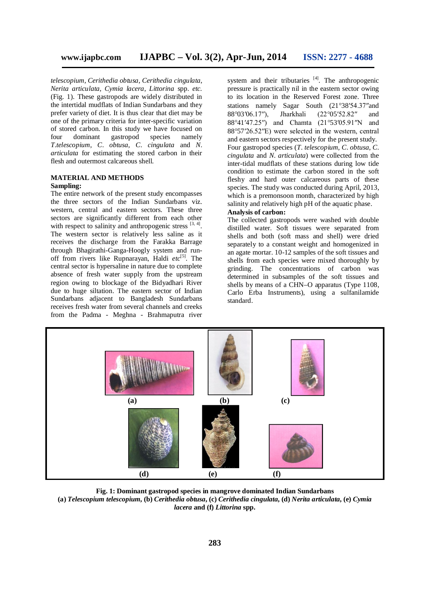*telescopium*, *Cerithedia obtusa*, *Cerithedia cingulata*, *Nerita articulata*, *Cymia lacera*, *Littorina* spp. *etc.* (Fig. 1). These gastropods are widely distributed in the intertidal mudflats of Indian Sundarbans and they prefer variety of diet. It is thus clear that diet may be one of the primary criteria for inter-specific variation of stored carbon. In this study we have focused on four dominant gastropod species namely *T*.*telescopium*, *C*. *obtusa*, *C*. *cingulata* and *N*. *articulata* for estimating the stored carbon in their flesh and outermost calcareous shell*.*

#### **MATERIAL AND METHODS Sampling:**

The entire network of the present study encompasses the three sectors of the Indian Sundarbans viz. western, central and eastern sectors. These three sectors are significantly different from each other with respect to salinity and anthropogenic stress  $[3, 4]$ . The western sector is relatively less saline as it receives the discharge from the Farakka Barrage through Bhagirathi-Ganga-Hoogly system and runoff from rivers like Rupnarayan, Haldi *etc*<sup>[5]</sup>. The central sector is hypersaline in nature due to complete absence of fresh water supply from the upstream region owing to blockage of the Bidyadhari River due to huge siltation. The eastern sector of Indian Sundarbans adjacent to Bangladesh Sundarbans receives fresh water from several channels and creeks from the Padma - Meghna - Brahmaputra river

system and their tributaries  $[4]$ . The anthropogenic pressure is practically nil in the eastern sector owing to its location in the Reserved Forest zone. Three stations namely Sagar South (21°38′54.37″ and 8803′06.17′′), Jharkhali (2205′52.82′′ and 88°41'47.25") and Chamta (21°53'05.91"N and 8857′26.52′′E) were selected in the western, central and eastern sectors respectively for the present study. Four gastropod species (*T*. *telescopium*, *C*. *obtusa*, *C*. *cingulata* and *N*. *articulata*) were collected from the inter-tidal mudflats of these stations during low tide condition to estimate the carbon stored in the soft fleshy and hard outer calcareous parts of these species. The study was conducted during April, 2013, which is a premonsoon month, characterized by high salinity and relatively high pH of the aquatic phase.

#### **Analysis of carbon:**

The collected gastropods were washed with double distilled water. Soft tissues were separated from shells and both (soft mass and shell) were dried separately to a constant weight and homogenized in an agate mortar. 10-12 samples of the soft tissues and shells from each species were mixed thoroughly by grinding. The concentrations of carbon was determined in subsamples of the soft tissues and shells by means of a CHN–O apparatus (Type 1108, Carlo Erba Instruments), using a sulfanilamide standard.



**Fig. 1: Dominant gastropod species in mangrove dominated Indian Sundarbans (a)** *Telescopium telescopium,* **(b)** *Cerithedia obtusa***, (c)** *Cerithedia cingulata,* **(d)** *Nerita articulata,* **(e)** *Cymia lacera* **and (f)** *Littorina* **spp.**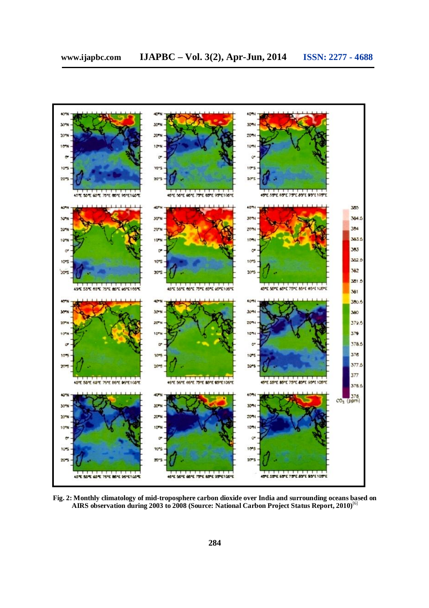

**Fig. 2: Monthly climatology of mid-troposphere carbon dioxide over India and surrounding oceans based on AIRS observation during 2003 to 2008 (Source: National Carbon Project Status Report, 2010)**[6]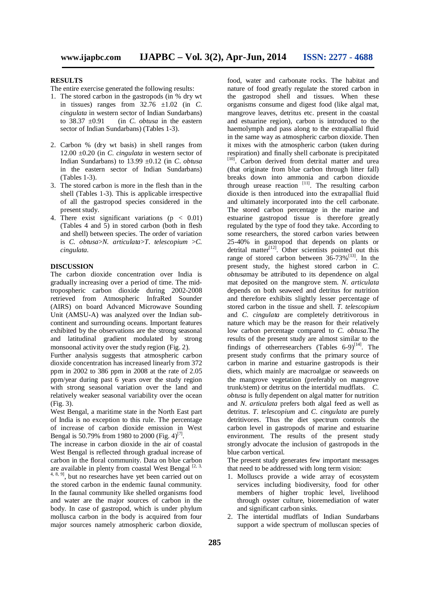#### **RESULTS**

- The entire exercise generated the following results:
- 1. The stored carbon in the gastropods (in % dry wt in tissues) ranges from 32.76 ±1.02 (in *C*. *cingulata* in western sector of Indian Sundarbans) to  $38.37 \pm 0.91$  (in *C. obtusa* in the eastern sector of Indian Sundarbans) (Tables 1-3).
- 2. Carbon % (dry wt basis) in shell ranges from 12.00 ±0.20 (in *C*. *cingulata* in western sector of Indian Sundarbans) to 13.99 ±0.12 (in *C*. *obtusa* in the eastern sector of Indian Sundarbans) (Tables 1-3).
- 3. The stored carbon is more in the flesh than in the shell (Tables 1-3). This is applicable irrespective of all the gastropod species considered in the present study.
- 4. There exist significant variations (p < 0.01) (Tables 4 and 5) in stored carbon (both in flesh and shell) between species. The order of variation is *C. obtusa*>*N. articulata*>*T. telescopium* >*C. cingulata.*

#### **DISCUSSION**

The carbon dioxide concentration over India is gradually increasing over a period of time. The midtropospheric carbon dioxide during 2002-2008 retrieved from Atmospheric InfraRed Sounder (AIRS) on board Advanced Microwave Sounding Unit (AMSU-A) was analyzed over the Indian subcontinent and surrounding oceans. Important features exhibited by the observations are the strong seasonal and latitudinal gradient modulated by strong monsoonal activity over the study region (Fig. 2).

Further analysis suggests that atmospheric carbon dioxide concentration has increased linearly from 372 ppm in 2002 to 386 ppm in 2008 at the rate of 2.05 ppm/year during past 6 years over the study region with strong seasonal variation over the land and relatively weaker seasonal variability over the ocean (Fig. 3).

West Bengal, a maritime state in the North East part of India is no exception to this rule. The percentage of increase of carbon dioxide emission in West Bengal is 50.79% from 1980 to 2000 (Fig.  $4$ )<sup>[7]</sup>.

The increase in carbon dioxide in the air of coastal West Bengal is reflected through gradual increase of carbon in the floral community. Data on blue carbon are available in plenty from coastal West Bengal  $[2, 3, 3]$ 

<sup>4, 8, 9</sup>, but no researches have yet been carried out on the stored carbon in the endemic faunal community. In the faunal community like shelled organisms food and water are the major sources of carbon in the body. In case of gastropod, which is under phylum mollusca carbon in the body is acquired from four major sources namely atmospheric carbon dioxide,

food, water and carbonate rocks. The habitat and nature of food greatly regulate the stored carbon in the gastropod shell and tissues. When these organisms consume and digest food (like algal mat, mangrove leaves, detritus etc. present in the coastal and estuarine region), carbon is introduced to the haemolymph and pass along to the extrapallial fluid in the same way as atmospheric carbon dioxide. Then it mixes with the atmospheric carbon (taken during respiration) and finally shell carbonate is precipitated [10]. Carbon derived from detrital matter and urea (that originate from blue carbon through litter fall) breaks down into ammonia and carbon dioxide through urease reaction  $[11]$ . The resulting carbon dioxide is then introduced into the extrapallial fluid and ultimately incorporated into the cell carbonate. The stored carbon percentage in the marine and estuarine gastropod tissue is therefore greatly regulated by the type of food they take. According to some researchers, the stored carbon varies between 25-40% in gastropod that depends on plants or detrital matter<sup>[12]</sup>. Other scientists pointed out this range of stored carbon between  $36-73\%$ <sup>[13]</sup>. In the present study, the highest stored carbon in *C*. *obtusa*may be attributed to its dependence on algal mat deposited on the mangrove stem. *N*. *articulata* depends on both seaweed and detritus for nutrition and therefore exhibits slightly lesser percentage of stored carbon in the tissue and shell. *T. telescopium*  and *C*. *cingulata* are completely detritivorous in nature which may be the reason for their relatively low carbon percentage compared to *C*. *obtusa*.The results of the present study are almost similar to the findings of otherresearchers (Tables  $6-9$ )<sup>[14]</sup>. The present study confirms that the primary source of carbon in marine and estuarine gastropods is their diets, which mainly are macroalgae or seaweeds on the mangrove vegetation (preferably on mangrove trunk/stem) or detritus on the intertidal mudflats. *C*. *obtusa* is fully dependent on algal matter for nutrition and *N*. *articulata* prefers both algal feed as well as detritus. *T*. *telescopium* and *C*. *cingulata* are purely detritivores. Thus the diet spectrum controls the carbon level in gastropods of marine and estuarine environment. The results of the present study strongly advocate the inclusion of gastropods in the blue carbon vertical.

The present study generates few important messages that need to be addressed with long term vision:

- 1. Molluscs provide a wide array of ecosystem services including biodiversity, food for other members of higher trophic level, livelihood through oyster culture, bioremediation of water and significant carbon sinks.
- 2. The intertidal mudflats of Indian Sundarbans support a wide spectrum of molluscan species of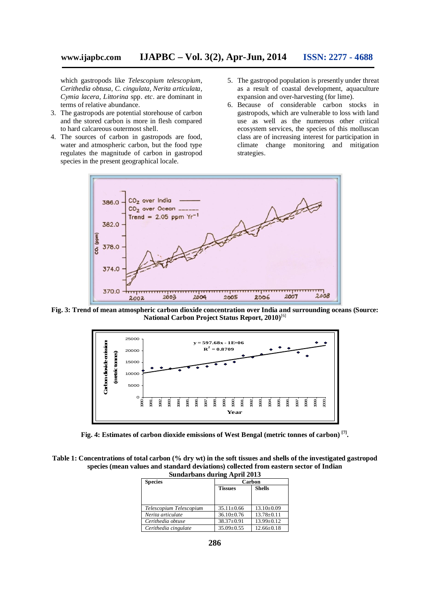which gastropods like *Telescopium telescopium*, *Cerithedia obtusa*, *C. cingulata*, *Nerita articulata*, *Cymia lacera*, *Littorina* spp. *etc*. are dominant in terms of relative abundance.

- 3. The gastropods are potential storehouse of carbon and the stored carbon is more in flesh compared to hard calcareous outermost shell.
- 4. The sources of carbon in gastropods are food, water and atmospheric carbon, but the food type regulates the magnitude of carbon in gastropod species in the present geographical locale.
- 5. The gastropod population is presently under threat as a result of coastal development, aquaculture expansion and over-harvesting (for lime).
- 6. Because of considerable carbon stocks in gastropods, which are vulnerable to loss with land use as well as the numerous other critical ecosystem services, the species of this molluscan class are of increasing interest for participation in climate change monitoring and mitigation strategies.



**Fig. 3: Trend of mean atmospheric carbon dioxide concentration over India and surrounding oceans (Source: National Carbon Project Status Report, 2010)**[6]



**Fig. 4: Estimates of carbon dioxide emissions of West Bengal (metric tonnes of carbon) [7] .**

**Table 1: Concentrations of total carbon (% dry wt) in the soft tissues and shells of the investigated gastropod species (mean values and standard deviations) collected from eastern sector of Indian Sundarbans during April 2013**

| <b>Species</b>          | Carbon                          |                  |  |
|-------------------------|---------------------------------|------------------|--|
|                         | <b>Shells</b><br><b>Tissues</b> |                  |  |
|                         |                                 |                  |  |
|                         |                                 |                  |  |
| Telescopium Telescopium | $35.11 \pm 0.66$                | $13.10 \pm 0.09$ |  |
| Nerita articulate       | $36.10 \pm 0.76$                | $13.78 \pm 0.11$ |  |
| Cerithedia obtuse       | $38.37 \pm 0.91$                | $13.99 \pm 0.12$ |  |
| Cerithedia cingulate    | $35.09 \pm 0.55$                | $12.66 \pm 0.18$ |  |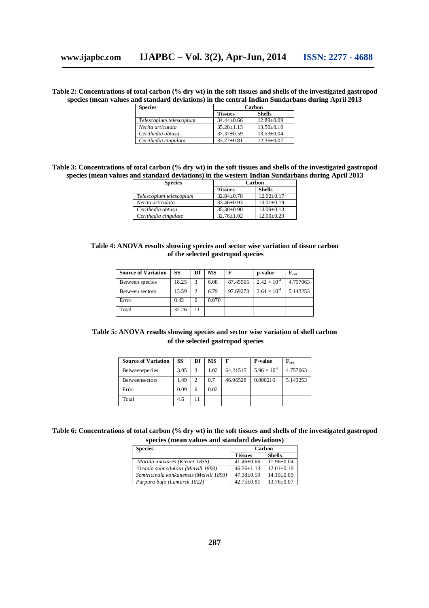#### **Table 2: Concentrations of total carbon (% dry wt) in the soft tissues and shells of the investigated gastropod species (mean values and standard deviations) in the central Indian Sundarbans during April 2013**

| <b>Species</b>          |                  | Carbon           |  |  |
|-------------------------|------------------|------------------|--|--|
|                         | <b>Tissues</b>   | <b>Shells</b>    |  |  |
| Telescopium telescopium | $34.44 \pm 0.66$ | $12.89 \pm 0.09$ |  |  |
| Nerita articulata       | $35.28 + 1.13$   | $13.50+0.10$     |  |  |
| Cerithedia obtusa       | $37.37 + 0.59$   | $13.53+0.04$     |  |  |
| Cerithedia cingulata    | $33.77 + 0.81$   | $12.36 + 0.07$   |  |  |

#### **Table 3: Concentrations of total carbon (% dry wt) in the soft tissues and shells of the investigated gastropod species (mean values and standard deviations) in the western Indian Sundarbans during April 2013**

| <b>Species</b>          | Carbon           |                  |  |
|-------------------------|------------------|------------------|--|
|                         | <b>Tissues</b>   | <b>Shells</b>    |  |
| Telescopium telescopium | $32.84 \pm 0.78$ | $12.02+0.17$     |  |
| Nerita articulata       | $33.46 + 0.93$   | $13.01+0.19$     |  |
| Cerithedia obtusa       | $35.30+0.90$     | $13.09 + 0.13$   |  |
| Cerithedia cingulate    | $32.76 \pm 1.02$ | $12.00 \pm 0.20$ |  |

#### **Table 4: ANOVA results showing species and sector wise variation of tissue carbon of the selected gastropod species**

| <b>Source of Variation</b> | SS    | Df | MS    |          | p-value               | $\mathbf{F}_{\text{crit}}$ |
|----------------------------|-------|----|-------|----------|-----------------------|----------------------------|
| Between species            | 18.25 | 3  | 6.08  | 87.45565 | $2.42 \times 10^{-4}$ | 4.757063                   |
| Between sectors            | 13.59 |    | 6.79  | 97.69273 | $2.64 \times 10^{-4}$ | 5.143253                   |
| Error                      | 0.42  | 6  | 0.070 |          |                       |                            |
| Total                      | 32.26 | 11 |       |          |                       |                            |

#### **Table 5: ANOVA results showing species and sector wise variation of shell carbon of the selected gastropod species**

| <b>Source of Variation</b> | SS   | Df             | МS   |          | P-value               | ${\bf F}_{\rm crit}$ |
|----------------------------|------|----------------|------|----------|-----------------------|----------------------|
| <b>Betweenspecies</b>      | 3.05 | 3              | 1.02 | 64.21515 | $5.96 \times 10^{-4}$ | 4.757063             |
| Betweensectors             | 1.49 | $\overline{c}$ | 0.7  | 46.96528 | 0.000216              | 5.143253             |
| Error                      | 0.09 | 6              | 0.02 |          |                       |                      |
| Total                      | 4.6  | 11             |      |          |                       |                      |

#### **Table 6: Concentrations of total carbon (% dry wt) in the soft tissues and shells of the investigated gastropod species (mean values and standard deviations)**

| <b>Species</b>                          | Carbon           |                  |  |
|-----------------------------------------|------------------|------------------|--|
|                                         | <b>Tissues</b>   | <b>Shells</b>    |  |
| Morula anaxares (Kiener 1835)           | $41.46 \pm 0.66$ | $11.96 \pm 0.04$ |  |
| Orania subnodulosa (Melvill 1893)       | $46.26 + 1.13$   | $12.01+0.10$     |  |
| Semiricinula konkanensis (Melvill 1893) | $47.38 \pm 0.59$ | $14.19 + 0.09$   |  |
| Purpura bufo (Lamarck 1822)             | $42.75 \pm 0.81$ | $13.76 \pm 0.07$ |  |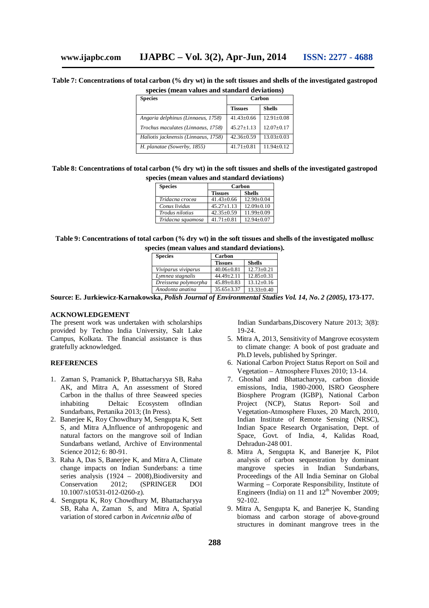## **Table 7: Concentrations of total carbon (% dry wt) in the soft tissues and shells of the investigated gastropod**

**species (mean values and standard deviations)**

| <b>Species</b>                       | Carbon           |                  |
|--------------------------------------|------------------|------------------|
|                                      | <b>Tissues</b>   | <b>Shells</b>    |
| Angaria delphinus (Linnaeus, 1758)   | $41.43 \pm 0.66$ | $12.91 \pm 0.08$ |
| Trochus maculates (Linnaeus, 1758)   | $45.27 + 1.13$   | $12.07+0.17$     |
| Haliotis jacknensis (Linnaeus, 1758) | $42.36 \pm 0.59$ | $13.03 \pm 0.03$ |
| H. planatae (Sowerby, 1855)          | $41.71 \pm 0.81$ | $11.94 + 0.12$   |

#### **Table 8: Concentrations of total carbon (% dry wt) in the soft tissues and shells of the investigated gastropod species (mean values and standard deviations)**

| <b>Species</b>    | Carbon                          |                  |  |
|-------------------|---------------------------------|------------------|--|
|                   | <b>Shells</b><br><b>Tissues</b> |                  |  |
| Tridacna crocea   | $41.43 \pm 0.66$                | $12.90 \pm 0.04$ |  |
| Conus lividus     | $45.27 + 1.13$                  | $12.09 \pm 0.10$ |  |
| Trodus nilotius   | $42.35 \pm 0.59$                | $11.99 \pm 0.09$ |  |
| Tridacna squamosa | $41.71 + 0.81$                  | $12.94 \pm 0.07$ |  |

#### **Table 9: Concentrations of total carbon (% dry wt) in the soft tissues and shells of the investigated mollusc species (mean values and standard deviations).**

| <b>Species</b>       | Carbon           |                  |  |
|----------------------|------------------|------------------|--|
|                      | <b>Tissues</b>   | <b>Shells</b>    |  |
| Viviparus viviparus  | $40.06 \pm 0.81$ | $12.73 \pm 0.21$ |  |
| Lymnea stagnalis     | $44.49 + 2.11$   | $12.85 \pm 0.31$ |  |
| Dreissena polymorpha | $45.89 \pm 0.83$ | $13.12 \pm 0.16$ |  |
| Anodonta anatina     | $35.65 \pm 3.37$ | $13.33 \pm 0.40$ |  |

**Source: E. Jurkiewicz-Karnakowska,** *Polish Journal of Environmental Studies Vol. 14, No. 2 (2005)***, 173-177.** 

#### **ACKNOWLEDGEMENT**

The present work was undertaken with scholarships provided by Techno India University, Salt Lake Campus, Kolkata. The financial assistance is thus gratefully acknowledged.

#### **REFERENCES**

- 1. Zaman S, Pramanick P, Bhattacharyya SB, Raha AK, and Mitra A, An assessment of Stored Carbon in the thallus of three Seaweed species inhabiting Deltaic Ecosystem ofIndian Sundarbans, Pertanika 2013; (In Press).
- 2. Banerjee K, Roy Chowdhury M, Sengupta K, Sett S, and Mitra A,Influence of anthropogenic and natural factors on the mangrove soil of Indian Sundarbans wetland, Archive of Environmental Science 2012; 6: 80-91.
- 3. Raha A, Das S, Banerjee K, and Mitra A, Climate change impacts on Indian Sunderbans: a time series analysis (1924 – 2008),Biodiversity and Conservation 2012; (SPRINGER DOI 10.1007/s10531-012-0260-z).
- 4. Sengupta K, Roy Chowdhury M, Bhattacharyya SB, Raha A, Zaman S, and Mitra A, Spatial variation of stored carbon in *Avicennia alba* of

 Indian Sundarbans,Discovery Nature 2013; 3(8): 19-24.

- 5. Mitra A, 2013, Sensitivity of Mangrove ecosystem to climate change: A book of post graduate and Ph.D levels, published by Springer.
- 6. National Carbon Project Status Report on Soil and Vegetation – Atmosphere Fluxes 2010; 13-14.
- 7. Ghoshal and Bhattacharyya, carbon dioxide emissions, India, 1980-2000, ISRO Geosphere Biosphere Program (IGBP), National Carbon Project (NCP), Status Report- Soil and Vegetation-Atmosphere Fluxes, 20 March, 2010, Indian Institute of Remote Sensing (NRSC), Indian Space Research Organisation, Dept. of Space, Govt. of India, 4, Kalidas Road, Dehradun-248 001.
- 8. Mitra A, Sengupta K, and Banerjee K, Pilot analysis of carbon sequestration by dominant mangrove species in Indian Sundarbans, Proceedings of the All India Seminar on Global Warming – Corporate Responsibility, Institute of Engineers (India) on 11 and  $12<sup>th</sup>$  November 2009; 92-102.
- 9. Mitra A, Sengupta K, and Banerjee K, Standing biomass and carbon storage of above-ground structures in dominant mangrove trees in the